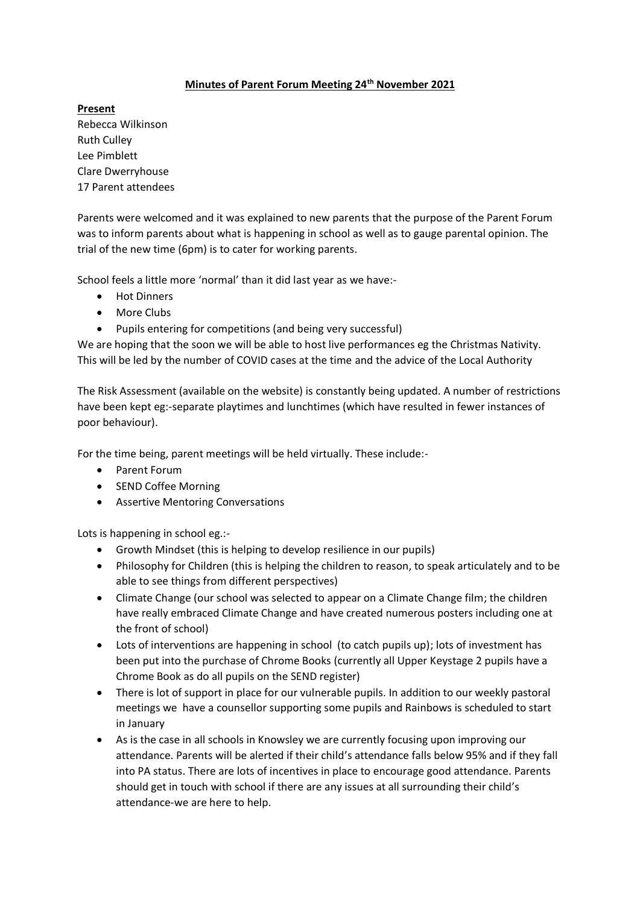## **Minutes of Parent Forum Meeting 24th November 2021**

**Present** Rebecca Wilkinson Ruth Culley Lee Pimblett Clare Dwerryhouse 17 Parent attendees

Parents were welcomed and it was explained to new parents that the purpose of the Parent Forum was to inform parents about what is happening in school as well as to gauge parental opinion. The trial of the new time (6pm) is to cater for working parents.

School feels a little more 'normal' than it did last year as we have:-

- Hot Dinners
- More Clubs
- Pupils entering for competitions (and being very successful)

We are hoping that the soon we will be able to host live performances eg the Christmas Nativity. This will be led by the number of COVID cases at the time and the advice of the Local Authority

The Risk Assessment (available on the website) is constantly being updated. A number of restrictions have been kept eg:-separate playtimes and lunchtimes (which have resulted in fewer instances of poor behaviour).

For the time being, parent meetings will be held virtually. These include:-

- Parent Forum
- SEND Coffee Morning
- Assertive Mentoring Conversations

Lots is happening in school eg.:-

- Growth Mindset (this is helping to develop resilience in our pupils)
- Philosophy for Children (this is helping the children to reason, to speak articulately and to be able to see things from different perspectives)
- Climate Change (our school was selected to appear on a Climate Change film; the children have really embraced Climate Change and have created numerous posters including one at the front of school)
- Lots of interventions are happening in school (to catch pupils up); lots of investment has been put into the purchase of Chrome Books (currently all Upper Keystage 2 pupils have a Chrome Book as do all pupils on the SEND register)
- There is lot of support in place for our vulnerable pupils. In addition to our weekly pastoral meetings we have a counsellor supporting some pupils and Rainbows is scheduled to start in January
- As is the case in all schools in Knowsley we are currently focusing upon improving our attendance. Parents will be alerted if their child's attendance falls below 95% and if they fall into PA status. There are lots of incentives in place to encourage good attendance. Parents should get in touch with school if there are any issues at all surrounding their child's attendance-we are here to help.